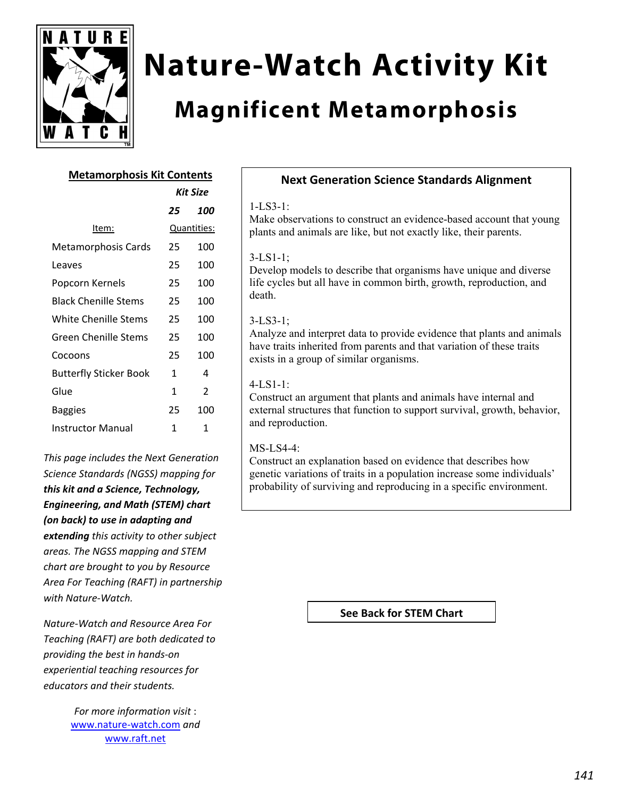

# **Nature-Watch Activity Kit**

## **Magnificent Metamorphosis**

#### **Metamorphosis Kit Contents**

*Kit Size*

|                               | אאנ אוא     |     |
|-------------------------------|-------------|-----|
|                               | 25          | 100 |
| Item:                         | Quantities: |     |
| Metamorphosis Cards           | 25          | 100 |
| Leaves                        | 25          | 100 |
| Popcorn Kernels               | 25          | 100 |
| Black Chenille Stems          | 25          | 100 |
| White Chenille Stems          | 25          | 100 |
| <b>Green Chenille Stems</b>   | 25          | 100 |
| Cocoons                       | 25          | 100 |
| <b>Butterfly Sticker Book</b> | 1           | 4   |
| Glue                          | 1           | 2   |
| Baggies                       | 25          | 100 |
| <b>Instructor Manual</b>      | 1           | 1   |
|                               |             |     |

*This page includes the Next Generation Science Standards (NGSS) mapping for this kit and a Science, Technology, Engineering, and Math (STEM) chart (on back) to use in adapting and extending this activity to other subject areas. The NGSS mapping and STEM chart are brought to you by Resource Area For Teaching (RAFT) in partnership with Nature‐Watch.* 

*Nature‐Watch and Resource Area For Teaching (RAFT) are both dedicated to providing the best in hands‐on experiential teaching resources for educators and their students.*

> *For more information visit* : www.nature‐watch.com *and* www.raft.net

### **Next Generation Science Standards Alignment**

#### 1-LS3-1:

Make observations to construct an evidence-based account that young plants and animals are like, but not exactly like, their parents.

#### 3-LS1-1;

Develop models to describe that organisms have unique and diverse life cycles but all have in common birth, growth, reproduction, and death.

#### 3-LS3-1;

Analyze and interpret data to provide evidence that plants and animals have traits inherited from parents and that variation of these traits exists in a group of similar organisms.

#### 4-LS1-1:

Construct an argument that plants and animals have internal and external structures that function to support survival, growth, behavior, and reproduction.

#### MS-LS4-4:

Construct an explanation based on evidence that describes how genetic variations of traits in a population increase some individuals' probability of surviving and reproducing in a specific environment.

**See Back for STEM Chart**